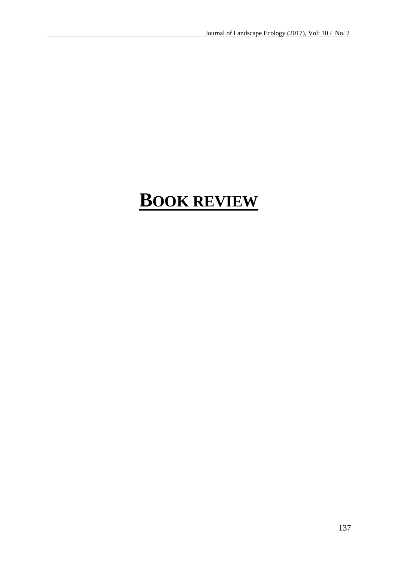# **BOOK REVIEW**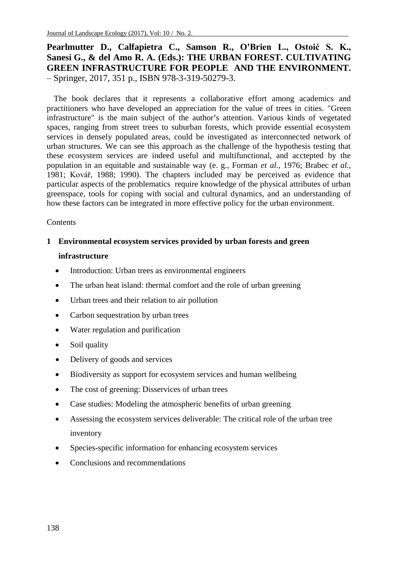**Pearlmutter D., Calfapietra C., Samson R., O'Brien L., Ostoić S. K., Sanesi G., & del Amo R. A. (Eds.): THE URBAN FOREST. CULTIVATING GREEN INFRASTRUCTURE FOR PEOPLE AND THE ENVIRONMENT.**  – Springer, 2017, 351 p., ISBN 978-3-319-50279-3.

The book declares that it represents a collaborative effort among academics and practitioners who have developed an appreciation for the value of trees in cities. "Green infrastructure" is the main subject of the author**'**s attention. Various kinds of vegetated spaces, ranging from street trees to suburban forests, which provide essential ecosystem services in densely populated areas, could be investigated as interconnected network of urban structures. We can see this approach as the challenge of the hypothesis testing that these ecosystem services are indeed useful and multifunctional, and acctepted by the population in an equitable and sustainable way (e. g., Forman *et al*., 1976; Brabec *et al.,* 1981; Kovář, 1988; 1990). The chapters included may be perceived as evidence that particular aspects of the problematics require knowledge of the physical attributes of urban greenspace, tools for coping with social and cultural dynamics, and an understanding of how these factors can be integrated in more effective policy for the urban environment.

#### **Contents**

## **1 Environmental ecosystem services provided by urban forests and green infrastructure**

- Introduction: Urban trees as environmental engineers
- The urban heat island: thermal comfort and the role of urban greening
- Urban trees and their relation to air pollution
- Carbon sequestration by urban trees
- Water regulation and purification
- Soil quality
- Delivery of goods and services
- Biodiversity as support for ecosystem services and human wellbeing
- The cost of greening: Disservices of urban trees
- Case studies: Modeling the atmospheric benefits of urban greening
- Assessing the ecosystem services deliverable: The critical role of the urban tree inventory
- Species-specific information for enhancing ecosystem services
- Conclusions and recommendations